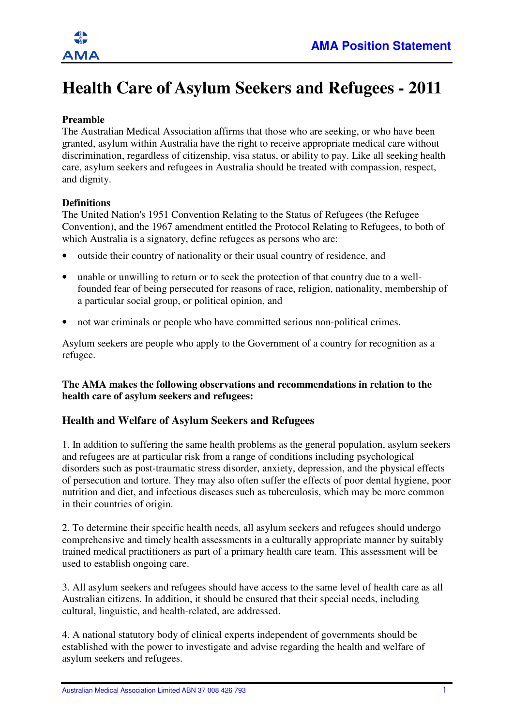# **Health Care of Asylum Seekers and Refugees - 2011**

# **Preamble**

The Australian Medical Association affirms that those who are seeking, or who have been granted, asylum within Australia have the right to receive appropriate medical care without discrimination, regardless of citizenship, visa status, or ability to pay. Like all seeking health care, asylum seekers and refugees in Australia should be treated with compassion, respect, and dignity.

### **Definitions**

The United Nation's 1951 Convention Relating to the Status of Refugees (the Refugee Convention), and the 1967 amendment entitled the Protocol Relating to Refugees, to both of which Australia is a signatory, define refugees as persons who are:

- outside their country of nationality or their usual country of residence, and
- unable or unwilling to return or to seek the protection of that country due to a wellfounded fear of being persecuted for reasons of race, religion, nationality, membership of a particular social group, or political opinion, and
- not war criminals or people who have committed serious non-political crimes.

Asylum seekers are people who apply to the Government of a country for recognition as a refugee.

### **The AMA makes the following observations and recommendations in relation to the health care of asylum seekers and refugees:**

# **Health and Welfare of Asylum Seekers and Refugees**

1. In addition to suffering the same health problems as the general population, asylum seekers and refugees are at particular risk from a range of conditions including psychological disorders such as post-traumatic stress disorder, anxiety, depression, and the physical effects of persecution and torture. They may also often suffer the effects of poor dental hygiene, poor nutrition and diet, and infectious diseases such as tuberculosis, which may be more common in their countries of origin.

2. To determine their specific health needs, all asylum seekers and refugees should undergo comprehensive and timely health assessments in a culturally appropriate manner by suitably trained medical practitioners as part of a primary health care team. This assessment will be used to establish ongoing care.

3. All asylum seekers and refugees should have access to the same level of health care as all Australian citizens. In addition, it should be ensured that their special needs, including cultural, linguistic, and health-related, are addressed.

4. A national statutory body of clinical experts independent of governments should be established with the power to investigate and advise regarding the health and welfare of asylum seekers and refugees.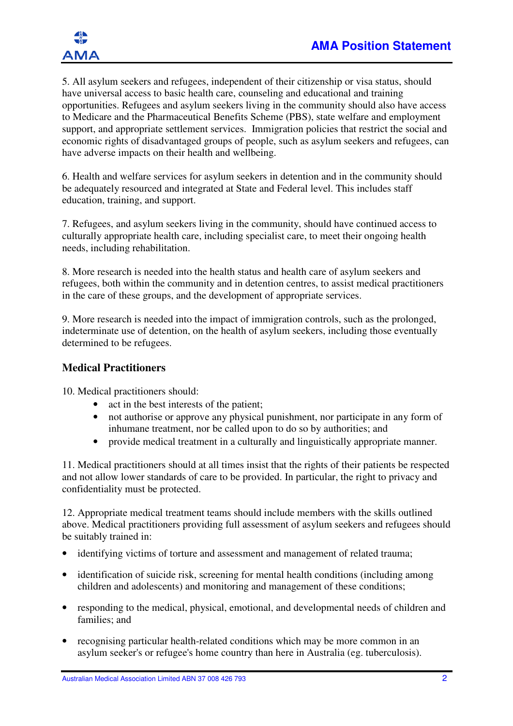

5. All asylum seekers and refugees, independent of their citizenship or visa status, should have universal access to basic health care, counseling and educational and training opportunities. Refugees and asylum seekers living in the community should also have access to Medicare and the Pharmaceutical Benefits Scheme (PBS), state welfare and employment support, and appropriate settlement services. Immigration policies that restrict the social and economic rights of disadvantaged groups of people, such as asylum seekers and refugees, can have adverse impacts on their health and wellbeing.

6. Health and welfare services for asylum seekers in detention and in the community should be adequately resourced and integrated at State and Federal level. This includes staff education, training, and support.

7. Refugees, and asylum seekers living in the community, should have continued access to culturally appropriate health care, including specialist care, to meet their ongoing health needs, including rehabilitation.

8. More research is needed into the health status and health care of asylum seekers and refugees, both within the community and in detention centres, to assist medical practitioners in the care of these groups, and the development of appropriate services.

9. More research is needed into the impact of immigration controls, such as the prolonged, indeterminate use of detention, on the health of asylum seekers, including those eventually determined to be refugees.

# **Medical Practitioners**

10. Medical practitioners should:

- act in the best interests of the patient;
- not authorise or approve any physical punishment, nor participate in any form of inhumane treatment, nor be called upon to do so by authorities; and
- provide medical treatment in a culturally and linguistically appropriate manner.

11. Medical practitioners should at all times insist that the rights of their patients be respected and not allow lower standards of care to be provided. In particular, the right to privacy and confidentiality must be protected.

12. Appropriate medical treatment teams should include members with the skills outlined above. Medical practitioners providing full assessment of asylum seekers and refugees should be suitably trained in:

- identifying victims of torture and assessment and management of related trauma;
- identification of suicide risk, screening for mental health conditions (including among children and adolescents) and monitoring and management of these conditions;
- responding to the medical, physical, emotional, and developmental needs of children and families; and
- recognising particular health-related conditions which may be more common in an asylum seeker's or refugee's home country than here in Australia (eg. tuberculosis).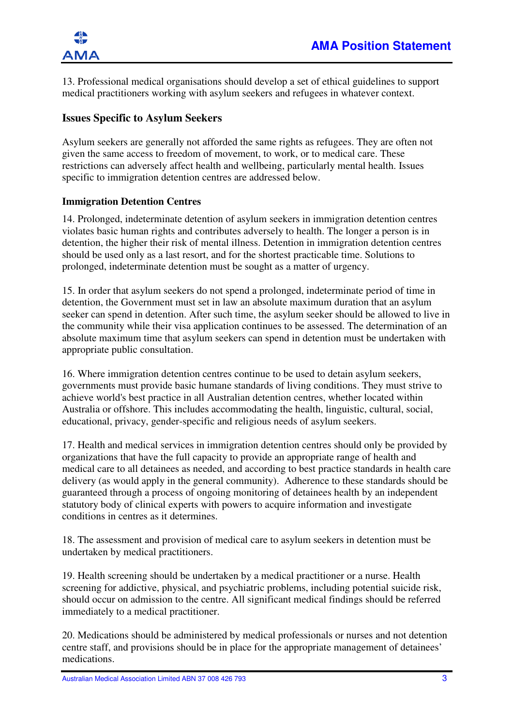13. Professional medical organisations should develop a set of ethical guidelines to support medical practitioners working with asylum seekers and refugees in whatever context.

# **Issues Specific to Asylum Seekers**

Asylum seekers are generally not afforded the same rights as refugees. They are often not given the same access to freedom of movement, to work, or to medical care. These restrictions can adversely affect health and wellbeing, particularly mental health. Issues specific to immigration detention centres are addressed below.

### **Immigration Detention Centres**

14. Prolonged, indeterminate detention of asylum seekers in immigration detention centres violates basic human rights and contributes adversely to health. The longer a person is in detention, the higher their risk of mental illness. Detention in immigration detention centres should be used only as a last resort, and for the shortest practicable time. Solutions to prolonged, indeterminate detention must be sought as a matter of urgency.

15. In order that asylum seekers do not spend a prolonged, indeterminate period of time in detention, the Government must set in law an absolute maximum duration that an asylum seeker can spend in detention. After such time, the asylum seeker should be allowed to live in the community while their visa application continues to be assessed. The determination of an absolute maximum time that asylum seekers can spend in detention must be undertaken with appropriate public consultation.

16. Where immigration detention centres continue to be used to detain asylum seekers, governments must provide basic humane standards of living conditions. They must strive to achieve world's best practice in all Australian detention centres, whether located within Australia or offshore. This includes accommodating the health, linguistic, cultural, social, educational, privacy, gender-specific and religious needs of asylum seekers.

17. Health and medical services in immigration detention centres should only be provided by organizations that have the full capacity to provide an appropriate range of health and medical care to all detainees as needed, and according to best practice standards in health care delivery (as would apply in the general community). Adherence to these standards should be guaranteed through a process of ongoing monitoring of detainees health by an independent statutory body of clinical experts with powers to acquire information and investigate conditions in centres as it determines.

18. The assessment and provision of medical care to asylum seekers in detention must be undertaken by medical practitioners.

19. Health screening should be undertaken by a medical practitioner or a nurse. Health screening for addictive, physical, and psychiatric problems, including potential suicide risk, should occur on admission to the centre. All significant medical findings should be referred immediately to a medical practitioner.

20. Medications should be administered by medical professionals or nurses and not detention centre staff, and provisions should be in place for the appropriate management of detainees' medications.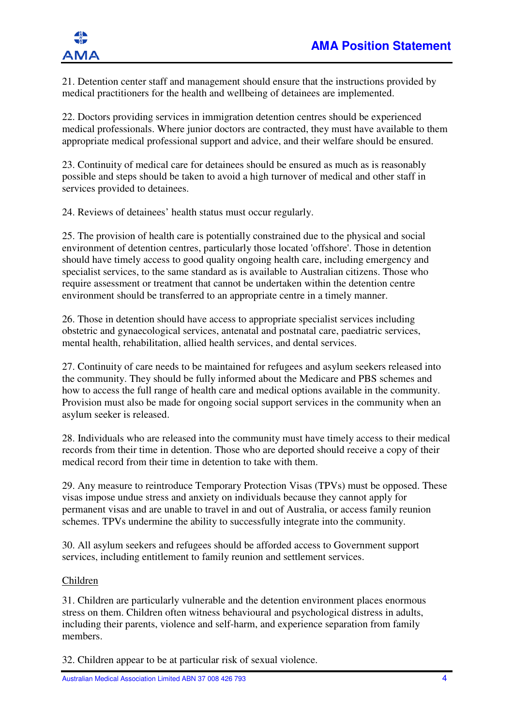

21. Detention center staff and management should ensure that the instructions provided by medical practitioners for the health and wellbeing of detainees are implemented.

22. Doctors providing services in immigration detention centres should be experienced medical professionals. Where junior doctors are contracted, they must have available to them appropriate medical professional support and advice, and their welfare should be ensured.

23. Continuity of medical care for detainees should be ensured as much as is reasonably possible and steps should be taken to avoid a high turnover of medical and other staff in services provided to detainees.

24. Reviews of detainees' health status must occur regularly.

25. The provision of health care is potentially constrained due to the physical and social environment of detention centres, particularly those located 'offshore'. Those in detention should have timely access to good quality ongoing health care, including emergency and specialist services, to the same standard as is available to Australian citizens. Those who require assessment or treatment that cannot be undertaken within the detention centre environment should be transferred to an appropriate centre in a timely manner.

26. Those in detention should have access to appropriate specialist services including obstetric and gynaecological services, antenatal and postnatal care, paediatric services, mental health, rehabilitation, allied health services, and dental services.

27. Continuity of care needs to be maintained for refugees and asylum seekers released into the community. They should be fully informed about the Medicare and PBS schemes and how to access the full range of health care and medical options available in the community. Provision must also be made for ongoing social support services in the community when an asylum seeker is released.

28. Individuals who are released into the community must have timely access to their medical records from their time in detention. Those who are deported should receive a copy of their medical record from their time in detention to take with them.

29. Any measure to reintroduce Temporary Protection Visas (TPVs) must be opposed. These visas impose undue stress and anxiety on individuals because they cannot apply for permanent visas and are unable to travel in and out of Australia, or access family reunion schemes. TPVs undermine the ability to successfully integrate into the community.

30. All asylum seekers and refugees should be afforded access to Government support services, including entitlement to family reunion and settlement services.

### Children

31. Children are particularly vulnerable and the detention environment places enormous stress on them. Children often witness behavioural and psychological distress in adults, including their parents, violence and self-harm, and experience separation from family members.

32. Children appear to be at particular risk of sexual violence.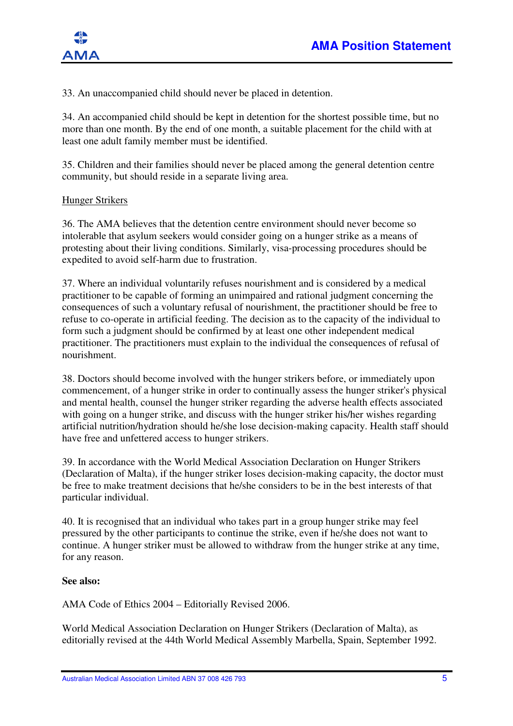

33. An unaccompanied child should never be placed in detention.

34. An accompanied child should be kept in detention for the shortest possible time, but no more than one month. By the end of one month, a suitable placement for the child with at least one adult family member must be identified.

35. Children and their families should never be placed among the general detention centre community, but should reside in a separate living area.

#### Hunger Strikers

36. The AMA believes that the detention centre environment should never become so intolerable that asylum seekers would consider going on a hunger strike as a means of protesting about their living conditions. Similarly, visa-processing procedures should be expedited to avoid self-harm due to frustration.

37. Where an individual voluntarily refuses nourishment and is considered by a medical practitioner to be capable of forming an unimpaired and rational judgment concerning the consequences of such a voluntary refusal of nourishment, the practitioner should be free to refuse to co-operate in artificial feeding. The decision as to the capacity of the individual to form such a judgment should be confirmed by at least one other independent medical practitioner. The practitioners must explain to the individual the consequences of refusal of nourishment.

38. Doctors should become involved with the hunger strikers before, or immediately upon commencement, of a hunger strike in order to continually assess the hunger striker's physical and mental health, counsel the hunger striker regarding the adverse health effects associated with going on a hunger strike, and discuss with the hunger striker his/her wishes regarding artificial nutrition/hydration should he/she lose decision-making capacity. Health staff should have free and unfettered access to hunger strikers.

39. In accordance with the World Medical Association Declaration on Hunger Strikers (Declaration of Malta), if the hunger striker loses decision-making capacity, the doctor must be free to make treatment decisions that he/she considers to be in the best interests of that particular individual.

40. It is recognised that an individual who takes part in a group hunger strike may feel pressured by the other participants to continue the strike, even if he/she does not want to continue. A hunger striker must be allowed to withdraw from the hunger strike at any time, for any reason.

#### **See also:**

AMA Code of Ethics 2004 – Editorially Revised 2006.

World Medical Association Declaration on Hunger Strikers (Declaration of Malta), as editorially revised at the 44th World Medical Assembly Marbella, Spain, September 1992.